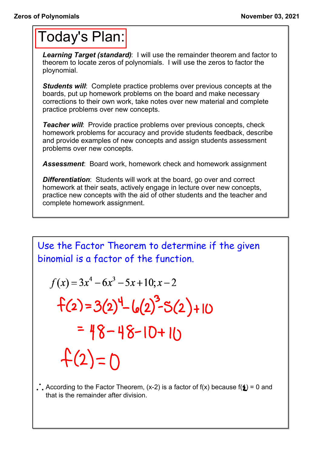## Today's Plan:

*Learning Target (standard)*: I will use the remainder theorem and factor to theorem to locate zeros of polynomials. I will use the zeros to factor the ploynomial.

**Students will:** Complete practice problems over previous concepts at the boards, put up homework problems on the board and make necessary corrections to their own work, take notes over new material and complete practice problems over new concepts.

*Teacher will:* Provide practice problems over previous concepts, check homework problems for accuracy and provide students feedback, describe and provide examples of new concepts and assign students assessment problems over new concepts.

*Assessment*: Board work, homework check and homework assignment

*Differentiation*: Students will work at the board, go over and correct homework at their seats, actively engage in lecture over new concepts, practice new concepts with the aid of other students and the teacher and complete homework assignment.

Use the Factor Theorem to determine if the given  
binomial is a factor of the function.  

$$
f(x) = 3x^4 - 6x^3 - 5x + 10; x - 2
$$
  
 $f(2) = 3(2)^4 - 6(2)^3 - 5(2) + 10$   
 $= 48 - 48 - 10 + 10$   
 $f(2) = 0$ 

According to the Factor Theorem, (x-2) is a factor of  $f(x)$  because  $f(1) = 0$  and that is the remainder after division.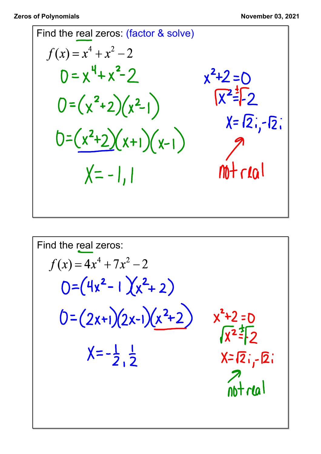Find the real zeros: (factor & solve)  
\n
$$
f(x) = x^4 + x^2 - 2
$$
  
\n $0 = x^4 + x^2 - 2$   
\n $0 = (x^2 + 2)(x^2 - 1)$   
\n $0 = (x^2 + 2)(x + 1)(x - 1)$   
\n $x = \sqrt{2}, -\sqrt{2}$   
\n $x = \sqrt{2}, -\sqrt{2}$   
\n $x = -1, 1$   
\n $x = -1, 1$   
\n $x = -1, 1$ 

Find the real zeros:  
\n
$$
f(x) = 4x^4 + 7x^2 - 2
$$
  
\n
$$
0 = (4x^2 - 1)(x^2 + 2)
$$
\n
$$
0 = (2x+1)(2x-1)(x^2+2)
$$
\n
$$
x^2 + 2 = 0
$$
\n
$$
x^2 = \frac{1}{2}
$$
\n
$$
x = -\frac{1}{2}, \frac{1}{2}
$$
\n
$$
x = \sqrt{2}, -\sqrt{2}
$$
\n
$$
x = \sqrt{2}, -\sqrt{2}
$$
\n
$$
x = \sqrt{2}, -\sqrt{2}
$$
\n
$$
x = \sqrt{2}, -\sqrt{2}
$$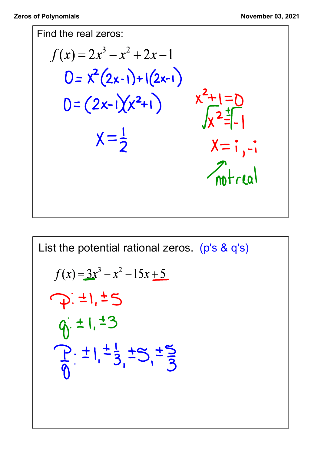

List the potential rational zeros. (p's & q's)  
\n
$$
f(x) = 3x^3 - x^2 - 15x + 5
$$
\n
$$
\overrightarrow{p} : \pm 1, \pm 5
$$
\n
$$
\overrightarrow{q} : \pm 1, \pm 3
$$
\n
$$
\overrightarrow{p} : \pm 1, \pm \frac{1}{3}, \pm 5, \pm \frac{5}{3}
$$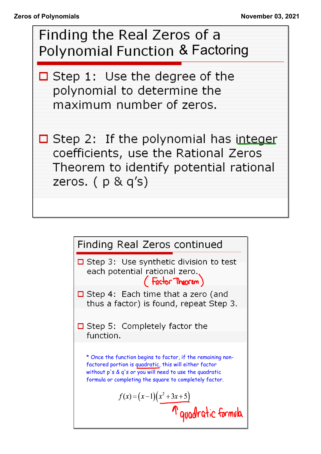